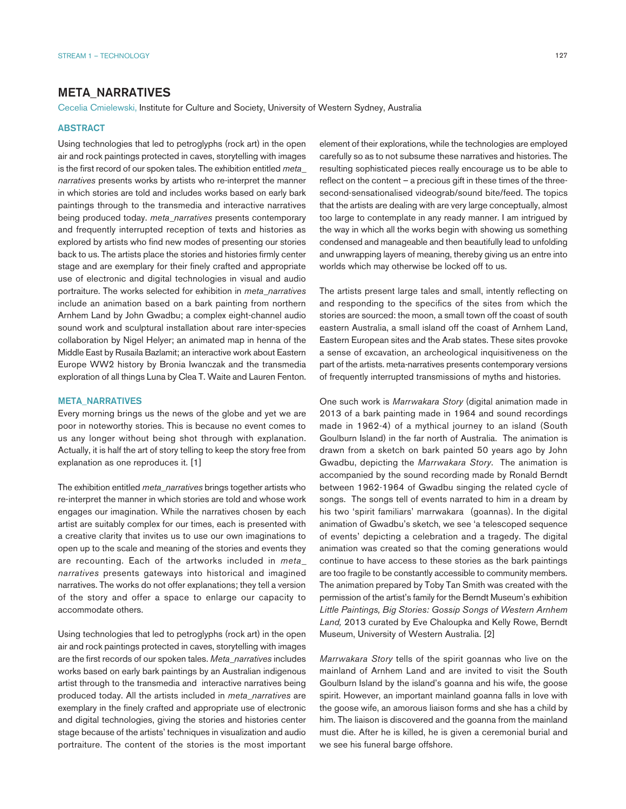## META\_NARRATIVES

Cecelia Cmielewski, Institute for Culture and Society, University of Western Sydney, Australia

## **ABSTRACT**

Using technologies that led to petroglyphs (rock art) in the open air and rock paintings protected in caves, storytelling with images is the first record of our spoken tales. The exhibition entitled *meta\_ narratives* presents works by artists who re-interpret the manner in which stories are told and includes works based on early bark paintings through to the transmedia and interactive narratives being produced today. *meta\_narratives* presents contemporary and frequently interrupted reception of texts and histories as explored by artists who find new modes of presenting our stories back to us. The artists place the stories and histories firmly center stage and are exemplary for their finely crafted and appropriate use of electronic and digital technologies in visual and audio portraiture. The works selected for exhibition in *meta\_narratives* include an animation based on a bark painting from northern Arnhem Land by John Gwadbu; a complex eight-channel audio sound work and sculptural installation about rare inter-species collaboration by Nigel Helyer; an animated map in henna of the Middle East by Rusaila Bazlamit; an interactive work about Eastern Europe WW2 history by Bronia Iwanczak and the transmedia exploration of all things Luna by Clea T. Waite and Lauren Fenton.

## META\_NARRATIVES

Every morning brings us the news of the globe and yet we are poor in noteworthy stories. This is because no event comes to us any longer without being shot through with explanation. Actually, it is half the art of story telling to keep the story free from explanation as one reproduces it. [1]

The exhibition entitled *meta\_narratives* brings together artists who re-interpret the manner in which stories are told and whose work engages our imagination. While the narratives chosen by each artist are suitably complex for our times, each is presented with a creative clarity that invites us to use our own imaginations to open up to the scale and meaning of the stories and events they are recounting. Each of the artworks included in *meta\_ narratives* presents gateways into historical and imagined narratives. The works do not offer explanations; they tell a version of the story and offer a space to enlarge our capacity to accommodate others.

Using technologies that led to petroglyphs (rock art) in the open air and rock paintings protected in caves, storytelling with images are the first records of our spoken tales. *Meta\_narratives* includes works based on early bark paintings by an Australian indigenous artist through to the transmedia and interactive narratives being produced today. All the artists included in *meta\_narratives* are exemplary in the finely crafted and appropriate use of electronic and digital technologies, giving the stories and histories center stage because of the artists' techniques in visualization and audio portraiture. The content of the stories is the most important element of their explorations, while the technologies are employed carefully so as to not subsume these narratives and histories. The resulting sophisticated pieces really encourage us to be able to reflect on the content – a precious gift in these times of the threesecond-sensationalised videograb/sound bite/feed. The topics that the artists are dealing with are very large conceptually, almost too large to contemplate in any ready manner. I am intrigued by the way in which all the works begin with showing us something condensed and manageable and then beautifully lead to unfolding and unwrapping layers of meaning, thereby giving us an entre into worlds which may otherwise be locked off to us.

The artists present large tales and small, intently reflecting on and responding to the specifics of the sites from which the stories are sourced: the moon, a small town off the coast of south eastern Australia, a small island off the coast of Arnhem Land, Eastern European sites and the Arab states. These sites provoke a sense of excavation, an archeological inquisitiveness on the part of the artists. meta-narratives presents contemporary versions of frequently interrupted transmissions of myths and histories.

One such work is *Marrwakara Story* (digital animation made in 2013 of a bark painting made in 1964 and sound recordings made in 1962-4) of a mythical journey to an island (South Goulburn Island) in the far north of Australia. The animation is drawn from a sketch on bark painted 50 years ago by John Gwadbu, depicting the *Marrwakara Story*. The animation is accompanied by the sound recording made by Ronald Berndt between 1962-1964 of Gwadbu singing the related cycle of songs. The songs tell of events narrated to him in a dream by his two 'spirit familiars' marrwakara (goannas). In the digital animation of Gwadbu's sketch, we see 'a telescoped sequence of events' depicting a celebration and a tragedy. The digital animation was created so that the coming generations would continue to have access to these stories as the bark paintings are too fragile to be constantly accessible to community members. The animation prepared by Toby Tan Smith was created with the permission of the artist's family for the Berndt Museum's exhibition *Little Paintings, Big Stories: Gossip Songs of Western Arnhem Land,* 2013 curated by Eve Chaloupka and Kelly Rowe, Berndt Museum, University of Western Australia. [2]

*Marrwakara Story* tells of the spirit goannas who live on the mainland of Arnhem Land and are invited to visit the South Goulburn Island by the island's goanna and his wife, the goose spirit. However, an important mainland goanna falls in love with the goose wife, an amorous liaison forms and she has a child by him. The liaison is discovered and the goanna from the mainland must die. After he is killed, he is given a ceremonial burial and we see his funeral barge offshore.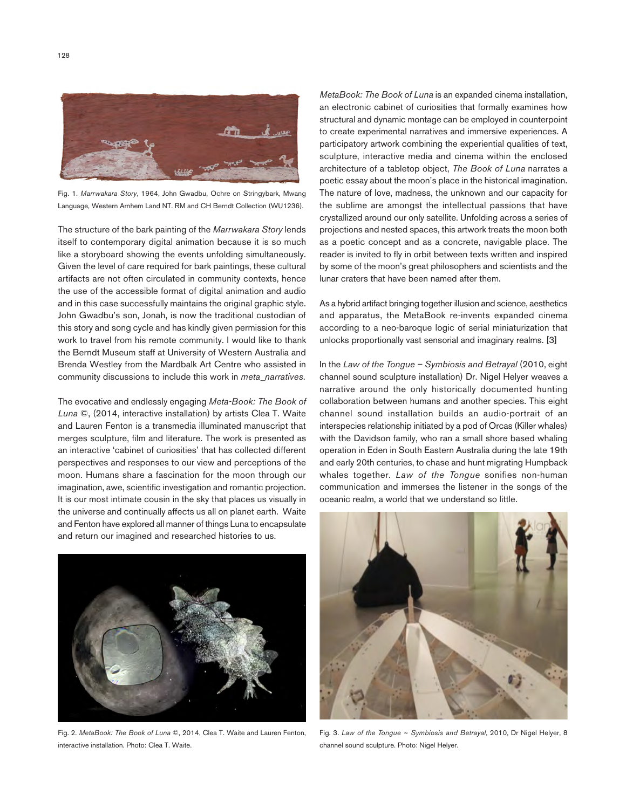

Fig. 1. *Marrwakara Story*, 1964, John Gwadbu, Ochre on Stringybark, Mwang Language, Western Arnhem Land NT. RM and CH Berndt Collection (WU1236).

The structure of the bark painting of the *Marrwakara Story* lends itself to contemporary digital animation because it is so much like a storyboard showing the events unfolding simultaneously. Given the level of care required for bark paintings, these cultural artifacts are not often circulated in community contexts, hence the use of the accessible format of digital animation and audio and in this case successfully maintains the original graphic style. John Gwadbu's son, Jonah, is now the traditional custodian of this story and song cycle and has kindly given permission for this work to travel from his remote community. I would like to thank the Berndt Museum staff at University of Western Australia and Brenda Westley from the Mardbalk Art Centre who assisted in community discussions to include this work in *meta\_narratives*.

The evocative and endlessly engaging *Meta-Book: The Book of Luna* ©, (2014, interactive installation) by artists Clea T. Waite and Lauren Fenton is a transmedia illuminated manuscript that merges sculpture, film and literature. The work is presented as an interactive 'cabinet of curiosities' that has collected different perspectives and responses to our view and perceptions of the moon. Humans share a fascination for the moon through our imagination, awe, scientific investigation and romantic projection. It is our most intimate cousin in the sky that places us visually in the universe and continually affects us all on planet earth. Waite and Fenton have explored all manner of things Luna to encapsulate and return our imagined and researched histories to us.



Fig. 2. *MetaBook: The Book of Luna* ©, 2014, Clea T. Waite and Lauren Fenton, interactive installation. Photo: Clea T. Waite.

*MetaBook: The Book of Luna* is an expanded cinema installation, an electronic cabinet of curiosities that formally examines how structural and dynamic montage can be employed in counterpoint to create experimental narratives and immersive experiences. A participatory artwork combining the experiential qualities of text, sculpture, interactive media and cinema within the enclosed architecture of a tabletop object, *The Book of Luna* narrates a poetic essay about the moon's place in the historical imagination. The nature of love, madness, the unknown and our capacity for the sublime are amongst the intellectual passions that have crystallized around our only satellite. Unfolding across a series of projections and nested spaces, this artwork treats the moon both as a poetic concept and as a concrete, navigable place. The reader is invited to fly in orbit between texts written and inspired by some of the moon's great philosophers and scientists and the lunar craters that have been named after them.

As a hybrid artifact bringing together illusion and science, aesthetics and apparatus, the MetaBook re-invents expanded cinema according to a neo-baroque logic of serial miniaturization that unlocks proportionally vast sensorial and imaginary realms. [3]

In the *Law of the Tongue – Symbiosis and Betrayal* (2010, eight channel sound sculpture installation) Dr. Nigel Helyer weaves a narrative around the only historically documented hunting collaboration between humans and another species. This eight channel sound installation builds an audio-portrait of an interspecies relationship initiated by a pod of Orcas (Killer whales) with the Davidson family, who ran a small shore based whaling operation in Eden in South Eastern Australia during the late 19th and early 20th centuries, to chase and hunt migrating Humpback whales together. *Law of the Tongue* sonifies non-human communication and immerses the listener in the songs of the oceanic realm, a world that we understand so little.



Fig. 3. *Law of the Tongue ~ Symbiosis and Betrayal*, 2010, Dr Nigel Helyer, 8 channel sound sculpture. Photo: Nigel Helyer.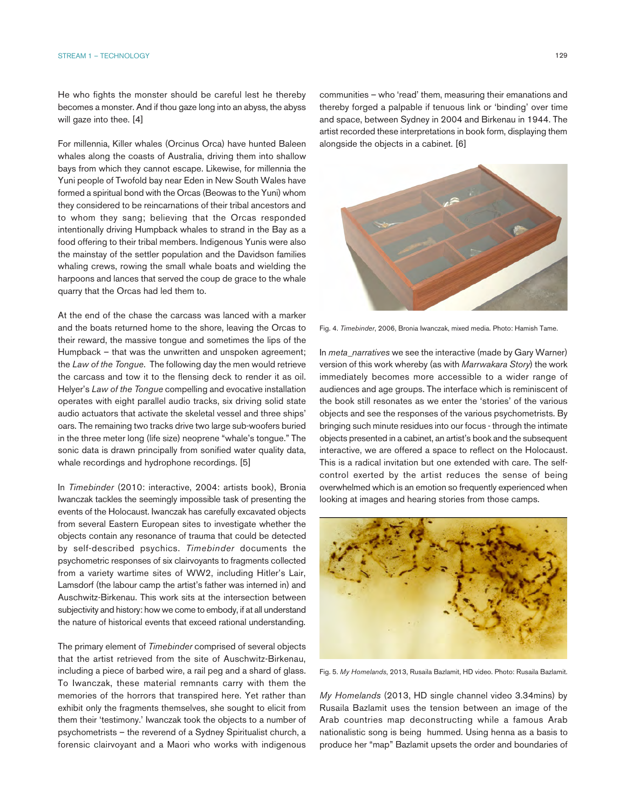He who fights the monster should be careful lest he thereby becomes a monster. And if thou gaze long into an abyss, the abyss will gaze into thee. [4]

For millennia, Killer whales (Orcinus Orca) have hunted Baleen whales along the coasts of Australia, driving them into shallow bays from which they cannot escape. Likewise, for millennia the Yuni people of Twofold bay near Eden in New South Wales have formed a spiritual bond with the Orcas (Beowas to the Yuni) whom they considered to be reincarnations of their tribal ancestors and to whom they sang; believing that the Orcas responded intentionally driving Humpback whales to strand in the Bay as a food offering to their tribal members. Indigenous Yunis were also the mainstay of the settler population and the Davidson families whaling crews, rowing the small whale boats and wielding the harpoons and lances that served the coup de grace to the whale quarry that the Orcas had led them to.

At the end of the chase the carcass was lanced with a marker and the boats returned home to the shore, leaving the Orcas to their reward, the massive tongue and sometimes the lips of the Humpback – that was the unwritten and unspoken agreement; the *Law of the Tongue*. The following day the men would retrieve the carcass and tow it to the flensing deck to render it as oil. Helyer's *Law of the Tongue* compelling and evocative installation operates with eight parallel audio tracks, six driving solid state audio actuators that activate the skeletal vessel and three ships' oars. The remaining two tracks drive two large sub-woofers buried in the three meter long (life size) neoprene "whale's tongue." The sonic data is drawn principally from sonified water quality data, whale recordings and hydrophone recordings. [5]

In *Timebinder* (2010: interactive, 2004: artists book), Bronia Iwanczak tackles the seemingly impossible task of presenting the events of the Holocaust. Iwanczak has carefully excavated objects from several Eastern European sites to investigate whether the objects contain any resonance of trauma that could be detected by self-described psychics. *Timebinder* documents the psychometric responses of six clairvoyants to fragments collected from a variety wartime sites of WW2, including Hitler's Lair, Lamsdorf (the labour camp the artist's father was interned in) and Auschwitz-Birkenau. This work sits at the intersection between subjectivity and history: how we come to embody, if at all understand the nature of historical events that exceed rational understanding.

The primary element of *Timebinder* comprised of several objects that the artist retrieved from the site of Auschwitz-Birkenau, including a piece of barbed wire, a rail peg and a shard of glass. To Iwanczak, these material remnants carry with them the memories of the horrors that transpired here. Yet rather than exhibit only the fragments themselves, she sought to elicit from them their 'testimony.' Iwanczak took the objects to a number of psychometrists – the reverend of a Sydney Spiritualist church, a forensic clairvoyant and a Maori who works with indigenous

communities – who 'read' them, measuring their emanations and thereby forged a palpable if tenuous link or 'binding' over time and space, between Sydney in 2004 and Birkenau in 1944. The artist recorded these interpretations in book form, displaying them alongside the objects in a cabinet. [6]



Fig. 4. *Timebinder*, 2006, Bronia Iwanczak, mixed media. Photo: Hamish Tame.

In *meta\_narratives* we see the interactive (made by Gary Warner) version of this work whereby (as with *Marrwakara Story*) the work immediately becomes more accessible to a wider range of audiences and age groups. The interface which is reminiscent of the book still resonates as we enter the 'stories' of the various objects and see the responses of the various psychometrists. By bringing such minute residues into our focus - through the intimate objects presented in a cabinet, an artist's book and the subsequent interactive, we are offered a space to reflect on the Holocaust. This is a radical invitation but one extended with care. The selfcontrol exerted by the artist reduces the sense of being overwhelmed which is an emotion so frequently experienced when looking at images and hearing stories from those camps.



Fig. 5. *My Homelands*, 2013, Rusaila Bazlamit, HD video. Photo: Rusaila Bazlamit.

*My Homelands* (2013, HD single channel video 3.34mins) by Rusaila Bazlamit uses the tension between an image of the Arab countries map deconstructing while a famous Arab nationalistic song is being hummed. Using henna as a basis to produce her "map" Bazlamit upsets the order and boundaries of